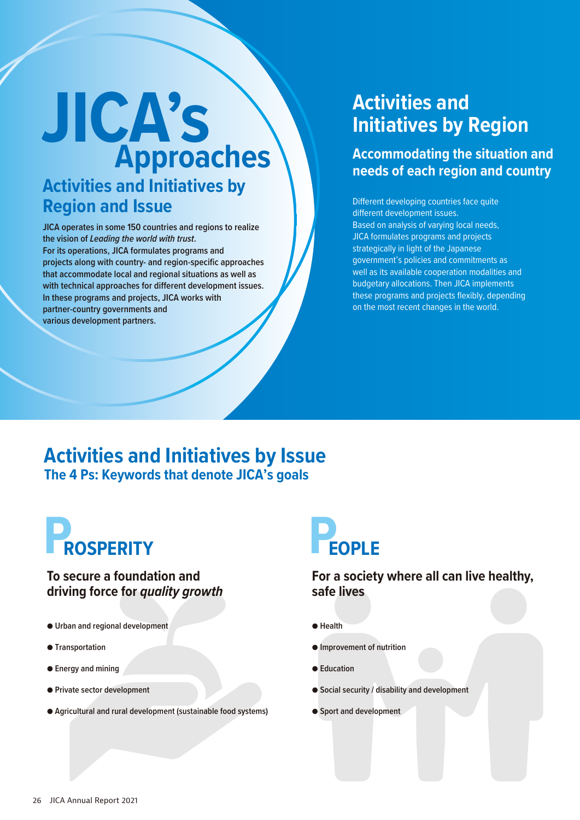# **JICA's Approaches Activities and Initiatives by Region and Issue**

**JICA operates in some 150 countries and regions to realize the vision of** *Leading the world with trust***. For its operations, JICA formulates programs and projects along with country- and region-specific approaches that accommodate local and regional situations as well as with technical approaches for different development issues. In these programs and projects, JICA works with partner-country governments and various development partners.**

### **Activities and Initiatives by Region**

### **Accommodating the situation and needs of each region and country**

Different developing countries face quite different development issues. Based on analysis of varying local needs, JICA formulates programs and projects strategically in light of the Japanese government's policies and commitments as well as its available cooperation modalities and budgetary allocations. Then JICA implements these programs and projects flexibly, depending on the most recent changes in the world.

### **Activities and Initiatives by Issue The 4 Ps: Keywords that denote JICA's goals**

# **PROSPERITY**

### **To secure a foundation and driving force for** *quality growth*

- **Urban and regional development**
- **Transportation**
- **Energy and mining**
- **Private sector development**
- **Agricultural and rural development (sustainable food systems)**

# **EOPLE**

### **For a society where all can live healthy, safe lives**

- **Health**
- **Improvement of nutrition**
- **Education**
- **Social security / disability and development**
- **Sport and development**